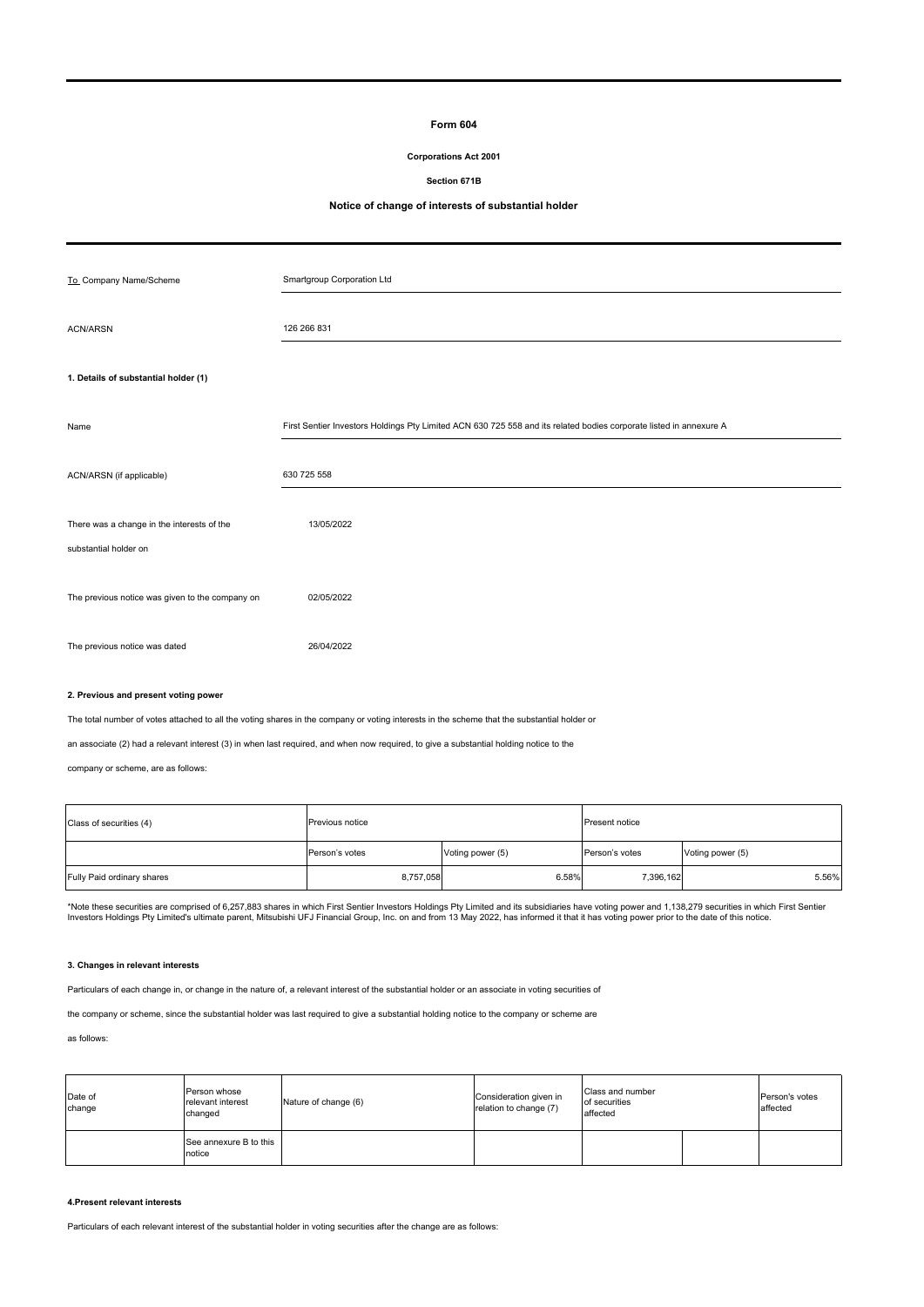### **Form 604**

### **Corporations Act 2001**

#### **Section 671B**

# **Notice of change of interests of substantial holder**

| To Company Name/Scheme                                              | Smartgroup Corporation Ltd                                                                                         |
|---------------------------------------------------------------------|--------------------------------------------------------------------------------------------------------------------|
| <b>ACN/ARSN</b>                                                     | 126 266 831                                                                                                        |
| 1. Details of substantial holder (1)                                |                                                                                                                    |
| Name                                                                | First Sentier Investors Holdings Pty Limited ACN 630 725 558 and its related bodies corporate listed in annexure A |
| ACN/ARSN (if applicable)                                            | 630 725 558                                                                                                        |
| There was a change in the interests of the<br>substantial holder on | 13/05/2022                                                                                                         |
| The previous notice was given to the company on                     | 02/05/2022                                                                                                         |
| The previous notice was dated                                       | 26/04/2022                                                                                                         |

### **2. Previous and present voting power**

The total number of votes attached to all the voting shares in the company or voting interests in the scheme that the substantial holder or

an associate (2) had a relevant interest (3) in when last required, and when now required, to give a substantial holding notice to the

company or scheme, are as follows:

| Class of securities (4)    | Previous notice |                  | <b>Present notice</b> |                  |  |
|----------------------------|-----------------|------------------|-----------------------|------------------|--|
|                            | Person's votes  | Voting power (5) | Person's votes        | Voting power (5) |  |
| Fully Paid ordinary shares | 8,757,058       | 6.58%            | 7,396,162             | 5.56%            |  |

\*Note these securities are comprised of 6,257,883 shares in which First Sentier Investors Holdings Pty Limited and its subsidiaries have voting power and 1,138,279 securities in which First Sentier<br>Investors Holdings Pty L

#### **3. Changes in relevant interests**

Particulars of each change in, or change in the nature of, a relevant interest of the substantial holder or an associate in voting securities of

the company or scheme, since the substantial holder was last required to give a substantial holding notice to the company or scheme are

### as follows:

| Date of<br>change | Person whose<br>relevant interest<br>changed | Nature of change (6) | Consideration given in<br>relation to change (7) | Class and number<br>of securities<br>affected |  | Person's votes<br>affected |
|-------------------|----------------------------------------------|----------------------|--------------------------------------------------|-----------------------------------------------|--|----------------------------|
|                   | See annexure B to this<br>notice             |                      |                                                  |                                               |  |                            |

### **4.Present relevant interests**

Particulars of each relevant interest of the substantial holder in voting securities after the change are as follows: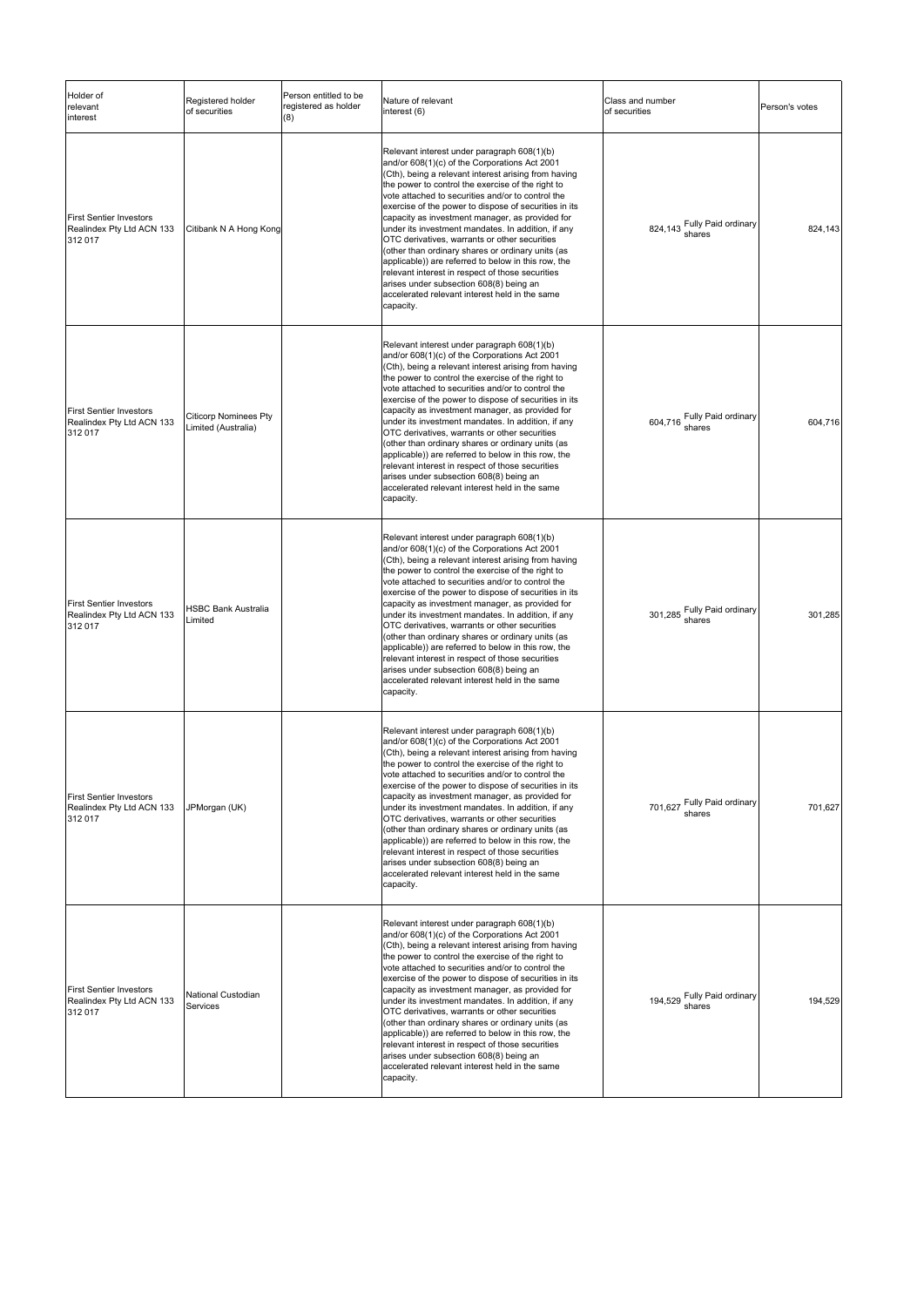| Holder of<br>relevant<br>interest                                      | Registered holder<br>of securities                  | Person entitled to be<br>registered as holder<br>(8) | Nature of relevant<br>interest (6)                                                                                                                                                                                                                                                                                                                                                                                                                                                                                                                                                                                                                                                                                                                          | Class and number<br>of securities     | Person's votes |
|------------------------------------------------------------------------|-----------------------------------------------------|------------------------------------------------------|-------------------------------------------------------------------------------------------------------------------------------------------------------------------------------------------------------------------------------------------------------------------------------------------------------------------------------------------------------------------------------------------------------------------------------------------------------------------------------------------------------------------------------------------------------------------------------------------------------------------------------------------------------------------------------------------------------------------------------------------------------------|---------------------------------------|----------------|
| <b>First Sentier Investors</b><br>Realindex Pty Ltd ACN 133<br>312 017 | Citibank N A Hong Kong                              |                                                      | Relevant interest under paragraph 608(1)(b)<br>and/or 608(1)(c) of the Corporations Act 2001<br>(Cth), being a relevant interest arising from having<br>the power to control the exercise of the right to<br>vote attached to securities and/or to control the<br>exercise of the power to dispose of securities in its<br>capacity as investment manager, as provided for<br>under its investment mandates. In addition, if any<br>OTC derivatives, warrants or other securities<br>(other than ordinary shares or ordinary units (as<br>applicable)) are referred to below in this row, the<br>relevant interest in respect of those securities<br>arises under subsection 608(8) being an<br>accelerated relevant interest held in the same<br>capacity. | 824,143 Fully Paid ordinary<br>shares | 824,143        |
| <b>First Sentier Investors</b><br>Realindex Pty Ltd ACN 133<br>312 017 | <b>Citicorp Nominees Pty</b><br>Limited (Australia) |                                                      | Relevant interest under paragraph 608(1)(b)<br>and/or 608(1)(c) of the Corporations Act 2001<br>(Cth), being a relevant interest arising from having<br>the power to control the exercise of the right to<br>vote attached to securities and/or to control the<br>exercise of the power to dispose of securities in its<br>capacity as investment manager, as provided for<br>under its investment mandates. In addition, if any<br>OTC derivatives, warrants or other securities<br>(other than ordinary shares or ordinary units (as<br>applicable)) are referred to below in this row, the<br>relevant interest in respect of those securities<br>arises under subsection 608(8) being an<br>accelerated relevant interest held in the same<br>capacity. | 604,716 Fully Paid ordinary           | 604,716        |
| <b>First Sentier Investors</b><br>Realindex Pty Ltd ACN 133<br>312 017 | HSBC Bank Australia<br>Limited                      |                                                      | Relevant interest under paragraph 608(1)(b)<br>and/or 608(1)(c) of the Corporations Act 2001<br>(Cth), being a relevant interest arising from having<br>the power to control the exercise of the right to<br>vote attached to securities and/or to control the<br>exercise of the power to dispose of securities in its<br>capacity as investment manager, as provided for<br>under its investment mandates. In addition, if any<br>OTC derivatives, warrants or other securities<br>(other than ordinary shares or ordinary units (as<br>applicable)) are referred to below in this row, the<br>relevant interest in respect of those securities<br>arises under subsection 608(8) being an<br>accelerated relevant interest held in the same<br>capacity. | 301,285 Fully Paid ordinary<br>shares | 301,285        |
| <b>First Sentier Investors</b><br>Realindex Pty Ltd ACN 133<br>312 017 | JPMorgan (UK)                                       |                                                      | Relevant interest under paragraph 608(1)(b)<br>and/or 608(1)(c) of the Corporations Act 2001<br>(Cth), being a relevant interest arising from having<br>the power to control the exercise of the right to<br>vote attached to securities and/or to control the<br>exercise of the power to dispose of securities in its<br>capacity as investment manager, as provided for<br>under its investment mandates. In addition, if any<br>OTC derivatives, warrants or other securities<br>(other than ordinary shares or ordinary units (as<br>applicable)) are referred to below in this row, the<br>relevant interest in respect of those securities<br>arises under subsection 608(8) being an<br>accelerated relevant interest held in the same<br>capacity. | 701,627 Fully Paid ordinary<br>shares | 701,627        |
| <b>First Sentier Investors</b><br>Realindex Pty Ltd ACN 133<br>312 017 | National Custodian<br>Services                      |                                                      | Relevant interest under paragraph 608(1)(b)<br>and/or 608(1)(c) of the Corporations Act 2001<br>(Cth), being a relevant interest arising from having<br>the power to control the exercise of the right to<br>vote attached to securities and/or to control the<br>exercise of the power to dispose of securities in its<br>capacity as investment manager, as provided for<br>under its investment mandates. In addition, if any<br>OTC derivatives, warrants or other securities<br>(other than ordinary shares or ordinary units (as<br>applicable)) are referred to below in this row, the<br>relevant interest in respect of those securities<br>arises under subsection 608(8) being an<br>accelerated relevant interest held in the same<br>capacity. | 194,529 Fully Paid ordinary<br>shares | 194,529        |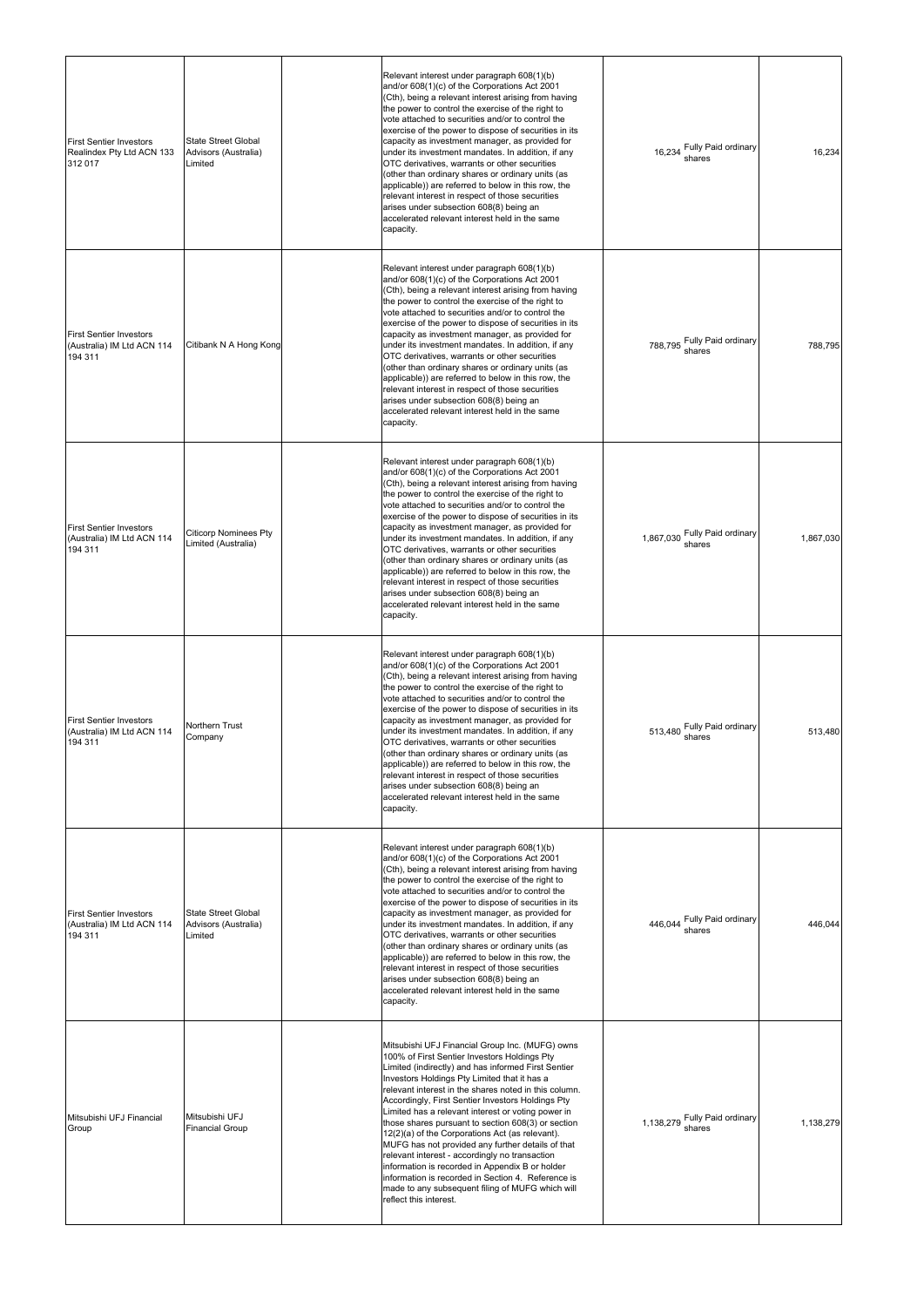| <b>First Sentier Investors</b><br>Realindex Pty Ltd ACN 133<br>312 017  | <b>State Street Global</b><br>Advisors (Australia)<br>Limited | Relevant interest under paragraph 608(1)(b)<br>and/or 608(1)(c) of the Corporations Act 2001<br>(Cth), being a relevant interest arising from having<br>the power to control the exercise of the right to<br>vote attached to securities and/or to control the<br>exercise of the power to dispose of securities in its<br>capacity as investment manager, as provided for<br>under its investment mandates. In addition, if any<br>OTC derivatives, warrants or other securities<br>(other than ordinary shares or ordinary units (as<br>applicable)) are referred to below in this row, the<br>relevant interest in respect of those securities<br>arises under subsection 608(8) being an<br>accelerated relevant interest held in the same<br>capacity.                       | 16,234 Fully Paid ordinary<br>shares    | 16,234    |
|-------------------------------------------------------------------------|---------------------------------------------------------------|-----------------------------------------------------------------------------------------------------------------------------------------------------------------------------------------------------------------------------------------------------------------------------------------------------------------------------------------------------------------------------------------------------------------------------------------------------------------------------------------------------------------------------------------------------------------------------------------------------------------------------------------------------------------------------------------------------------------------------------------------------------------------------------|-----------------------------------------|-----------|
| <b>First Sentier Investors</b><br>(Australia) IM Ltd ACN 114<br>194 311 | Citibank N A Hong Kong                                        | Relevant interest under paragraph 608(1)(b)<br>and/or 608(1)(c) of the Corporations Act 2001<br>(Cth), being a relevant interest arising from having<br>the power to control the exercise of the right to<br>vote attached to securities and/or to control the<br>exercise of the power to dispose of securities in its<br>capacity as investment manager, as provided for<br>under its investment mandates. In addition, if any<br>OTC derivatives, warrants or other securities<br>(other than ordinary shares or ordinary units (as<br>applicable)) are referred to below in this row, the<br>relevant interest in respect of those securities<br>arises under subsection 608(8) being an<br>accelerated relevant interest held in the same<br>capacity.                       | 788,795 Fully Paid ordinary             | 788,795   |
| <b>First Sentier Investors</b><br>(Australia) IM Ltd ACN 114<br>194 311 | <b>Citicorp Nominees Pty</b><br>Limited (Australia)           | Relevant interest under paragraph 608(1)(b)<br>and/or 608(1)(c) of the Corporations Act 2001<br>(Cth), being a relevant interest arising from having<br>the power to control the exercise of the right to<br>vote attached to securities and/or to control the<br>exercise of the power to dispose of securities in its<br>capacity as investment manager, as provided for<br>under its investment mandates. In addition, if any<br>OTC derivatives, warrants or other securities<br>(other than ordinary shares or ordinary units (as<br>applicable)) are referred to below in this row, the<br>relevant interest in respect of those securities<br>arises under subsection 608(8) being an<br>accelerated relevant interest held in the same<br>capacity.                       | 1,867,030 Fully Paid ordinary           | 1,867,030 |
| <b>First Sentier Investors</b><br>(Australia) IM Ltd ACN 114<br>194 311 | Northern Trust<br>Company                                     | Relevant interest under paragraph 608(1)(b)<br>and/or 608(1)(c) of the Corporations Act 2001<br>(Cth), being a relevant interest arising from having<br>the power to control the exercise of the right to<br>vote attached to securities and/or to control the<br>exercise of the power to dispose of securities in its<br>capacity as investment manager, as provided for<br>under its investment mandates. In addition, if any<br>OTC derivatives, warrants or other securities<br>(other than ordinary shares or ordinary units (as<br>applicable)) are referred to below in this row, the<br>relevant interest in respect of those securities<br>arises under subsection 608(8) being an<br>accelerated relevant interest held in the same<br>capacity.                       | 513,480 Fully Paid ordinary             | 513,480   |
| <b>First Sentier Investors</b><br>(Australia) IM Ltd ACN 114<br>194 311 | <b>State Street Global</b><br>Advisors (Australia)<br>Limited | Relevant interest under paragraph 608(1)(b)<br>and/or 608(1)(c) of the Corporations Act 2001<br>(Cth), being a relevant interest arising from having<br>the power to control the exercise of the right to<br>vote attached to securities and/or to control the<br>exercise of the power to dispose of securities in its<br>capacity as investment manager, as provided for<br>under its investment mandates. In addition, if any<br>OTC derivatives, warrants or other securities<br>(other than ordinary shares or ordinary units (as<br>applicable)) are referred to below in this row, the<br>relevant interest in respect of those securities<br>arises under subsection 608(8) being an<br>accelerated relevant interest held in the same<br>capacity.                       | 446,044 Fully Paid ordinary<br>shares   | 446,044   |
| Mitsubishi UFJ Financial<br>Group                                       | Mitsubishi UFJ<br><b>Financial Group</b>                      | Mitsubishi UFJ Financial Group Inc. (MUFG) owns<br>100% of First Sentier Investors Holdings Pty<br>Limited (indirectly) and has informed First Sentier<br>Investors Holdings Pty Limited that it has a<br>relevant interest in the shares noted in this column.<br>Accordingly, First Sentier Investors Holdings Pty<br>Limited has a relevant interest or voting power in<br>those shares pursuant to section 608(3) or section<br>12(2)(a) of the Corporations Act (as relevant).<br>MUFG has not provided any further details of that<br>relevant interest - accordingly no transaction<br>information is recorded in Appendix B or holder<br>information is recorded in Section 4. Reference is<br>made to any subsequent filing of MUFG which will<br>reflect this interest. | 1,138,279 Fully Paid ordinary<br>shares | 1,138,279 |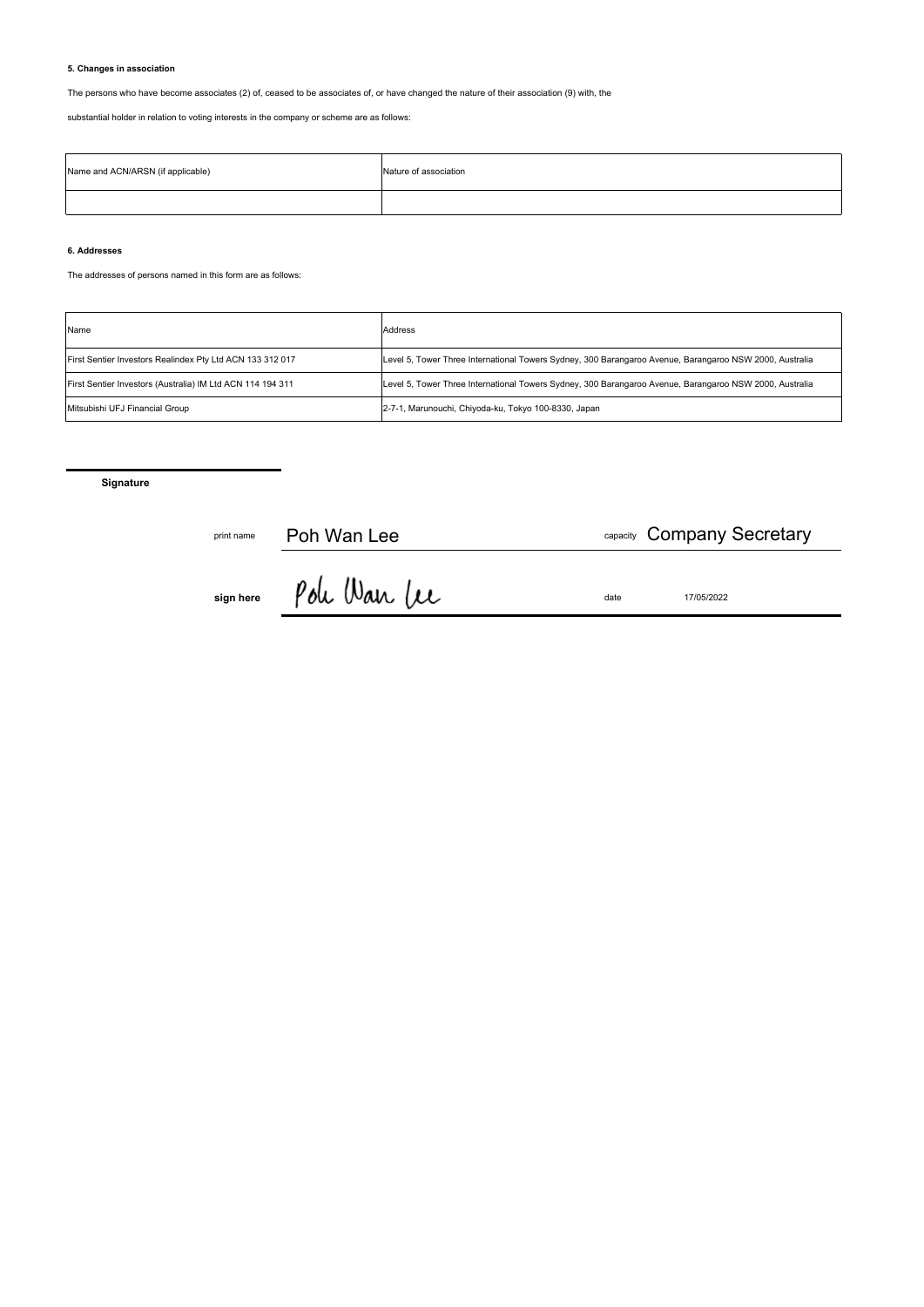# **5. Changes in association**

The persons who have become associates (2) of, ceased to be associates of, or have changed the nature of their association (9) with, the

substantial holder in relation to voting interests in the company or scheme are as follows:

| Name and ACN/ARSN (if applicable) | Nature of association |
|-----------------------------------|-----------------------|
|                                   |                       |

# **6. Addresses**

The addresses of persons named in this form are as follows:

| Name                                                       | Address                                                                                                 |
|------------------------------------------------------------|---------------------------------------------------------------------------------------------------------|
| First Sentier Investors Realindex Pty Ltd ACN 133 312 017  | Level 5, Tower Three International Towers Sydney, 300 Barangaroo Avenue, Barangaroo NSW 2000, Australia |
| First Sentier Investors (Australia) IM Ltd ACN 114 194 311 | Level 5, Tower Three International Towers Sydney, 300 Barangaroo Avenue, Barangaroo NSW 2000, Australia |
| Mitsubishi UFJ Financial Group                             | 2-7-1, Marunouchi, Chiyoda-ku, Tokyo 100-8330, Japan                                                    |

**Signature**

| print name | Poh Wan Lee  |      | <sub>capacity</sub> Company Secretary |
|------------|--------------|------|---------------------------------------|
| sign here  | Poli Wan Lee | date | 17/05/2022                            |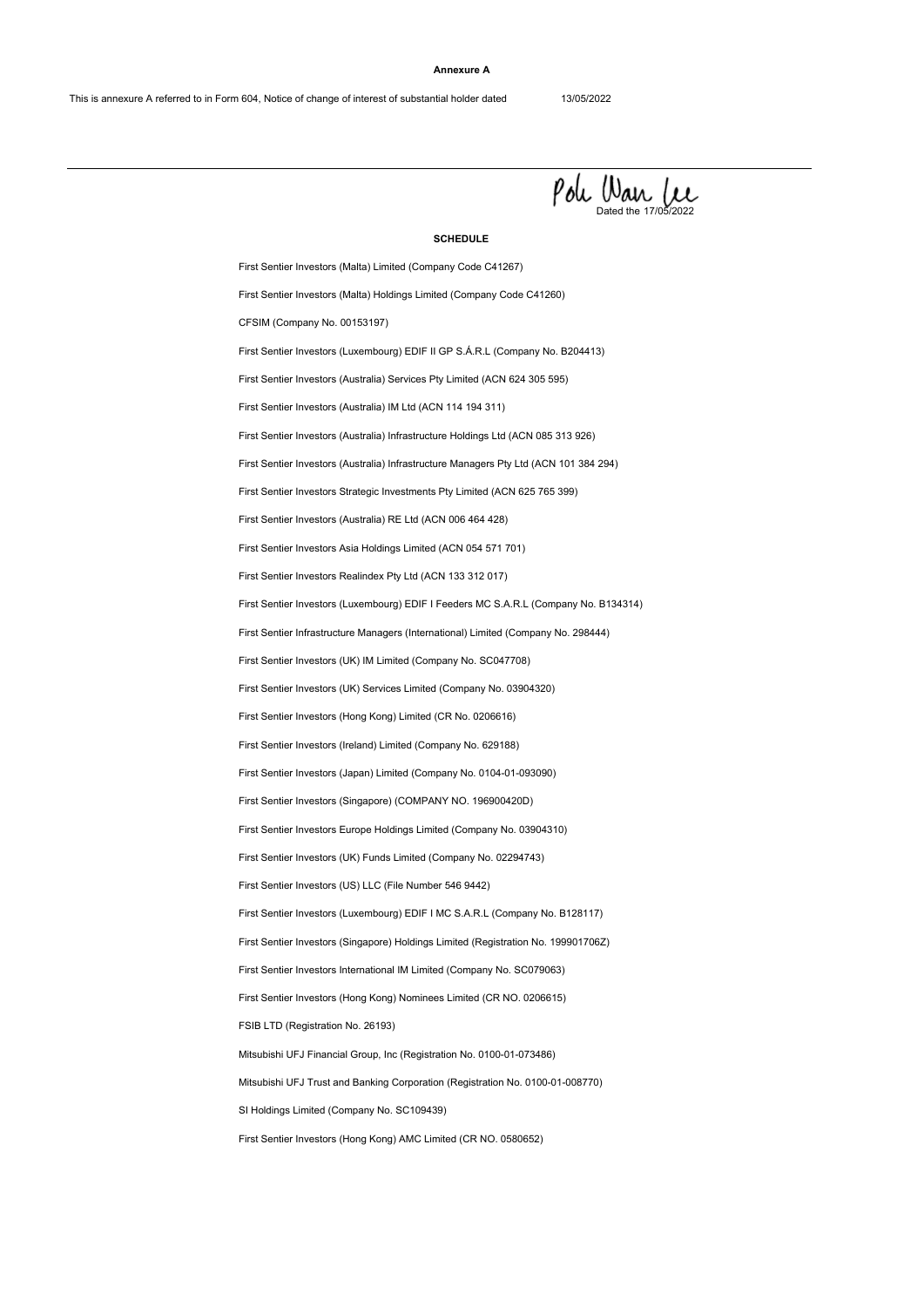#### **Annexure A**



#### **SCHEDULE**

First Sentier Investors (Singapore) Holdings Limited (Registration No. 199901706Z) First Sentier Investors (Hong Kong) Limited (CR No. 0206616) First Sentier Investors (Luxembourg) EDIF I Feeders MC S.A.R.L (Company No. B134314) First Sentier Investors Strategic Investments Pty Limited (ACN 625 765 399) First Sentier Investors (Australia) Services Pty Limited (ACN 624 305 595) First Sentier Investors (Australia) Infrastructure Holdings Ltd (ACN 085 313 926) CFSIM (Company No. 00153197) First Sentier Investors (Australia) IM Ltd (ACN 114 194 311) First Sentier Investors (Hong Kong) AMC Limited (CR NO. 0580652) First Sentier Investors (Luxembourg) EDIF I MC S.A.R.L (Company No. B128117) First Sentier Investors (Singapore) (COMPANY NO. 196900420D) First Sentier Investors (Malta) Limited (Company Code C41267) First Sentier Investors (UK) Services Limited (Company No. 03904320) First Sentier Investors Realindex Pty Ltd (ACN 133 312 017) First Sentier Investors (Australia) Infrastructure Managers Pty Ltd (ACN 101 384 294) First Sentier Investors (Luxembourg) EDIF II GP S.Á.R.L (Company No. B204413) First Sentier Investors (Hong Kong) Nominees Limited (CR NO. 0206615) SI Holdings Limited (Company No. SC109439) First Sentier Investors (Japan) Limited (Company No. 0104-01-093090) First Sentier Investors (US) LLC (File Number 546 9442) First Sentier Investors (Malta) Holdings Limited (Company Code C41260) First Sentier Investors (UK) IM Limited (Company No. SC047708) First Sentier Investors Asia Holdings Limited (ACN 054 571 701) Mitsubishi UFJ Trust and Banking Corporation (Registration No. 0100-01-008770) First Sentier Investors (Ireland) Limited (Company No. 629188) First Sentier Investors (UK) Funds Limited (Company No. 02294743) First Sentier Infrastructure Managers (International) Limited (Company No. 298444) First Sentier Investors (Australia) RE Ltd (ACN 006 464 428) Mitsubishi UFJ Financial Group, Inc (Registration No. 0100-01-073486) First Sentier Investors Europe Holdings Limited (Company No. 03904310) FSIB LTD (Registration No. 26193) First Sentier Investors International IM Limited (Company No. SC079063)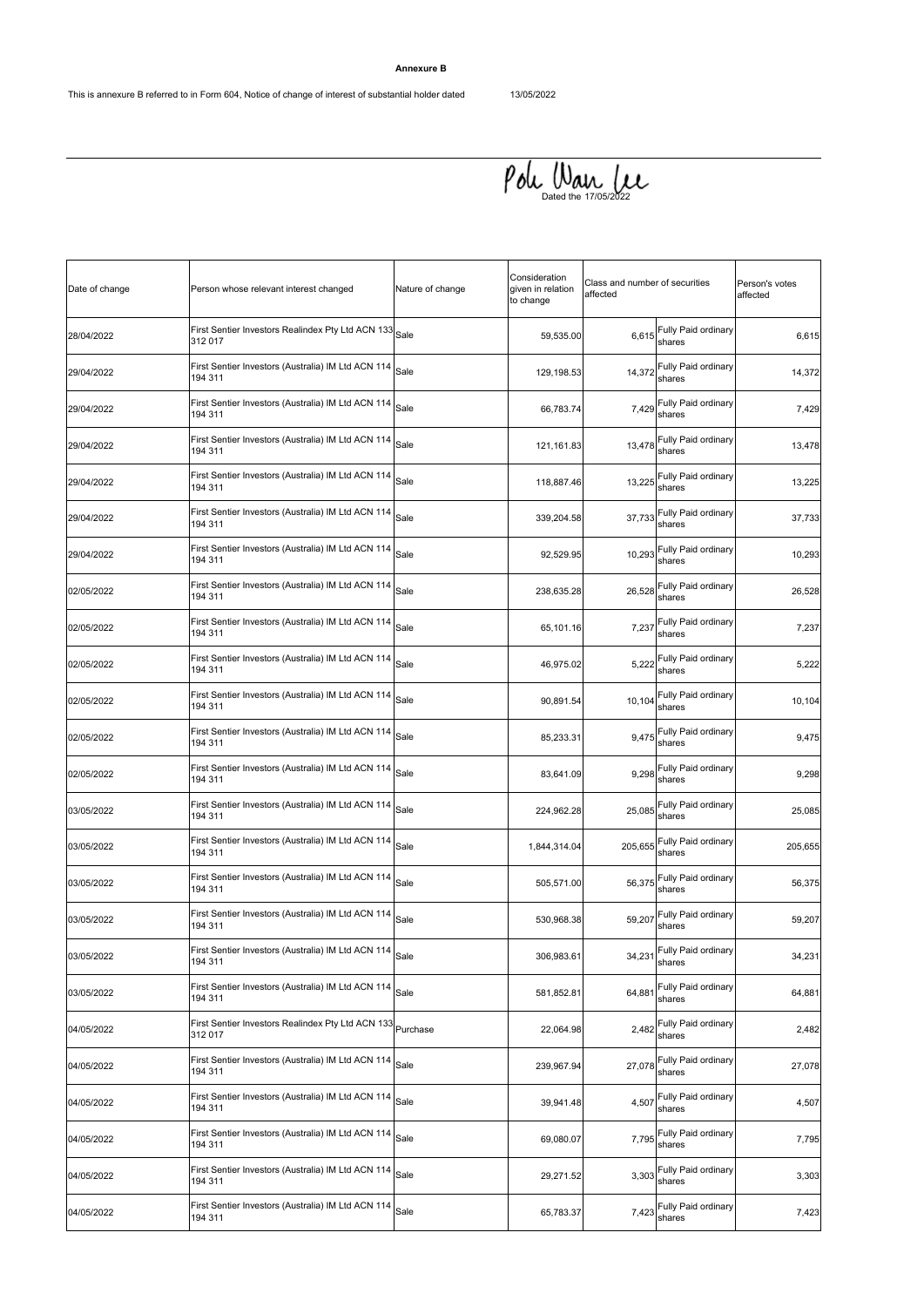# **Annexure B**

 $\rho$ oh Wan Lee

| Date of change | Person whose relevant interest changed                                  | Nature of change | Consideration<br>given in relation<br>to change | Class and number of securities<br>affected |                                      | Person's votes<br>affected |
|----------------|-------------------------------------------------------------------------|------------------|-------------------------------------------------|--------------------------------------------|--------------------------------------|----------------------------|
| 28/04/2022     | First Sentier Investors Realindex Pty Ltd ACN 133<br>312 017            | Sale             | 59,535.00                                       | 6,615                                      | Fully Paid ordinary<br>shares        | 6,615                      |
| 29/04/2022     | First Sentier Investors (Australia) IM Ltd ACN 114<br>194 311           | Sale             | 129,198.53                                      | 14,372                                     | Fully Paid ordinary<br>shares        | 14,372                     |
| 29/04/2022     | First Sentier Investors (Australia) IM Ltd ACN 114<br>194 311           | Sale             | 66,783.74                                       | 7,429                                      | Fully Paid ordinary<br>shares        | 7,429                      |
| 29/04/2022     | First Sentier Investors (Australia) IM Ltd ACN 114<br>194 311           | Sale             | 121,161.83                                      | 13,478                                     | Fully Paid ordinary<br>shares        | 13,478                     |
| 29/04/2022     | First Sentier Investors (Australia) IM Ltd ACN 114<br>194 311           | Sale             | 118,887.46                                      | 13,225                                     | Fully Paid ordinary<br>shares        | 13,225                     |
| 29/04/2022     | First Sentier Investors (Australia) IM Ltd ACN 114<br>194 311           | Sale             | 339,204.58                                      | 37,733                                     | Fully Paid ordinary<br>shares        | 37,733                     |
| 29/04/2022     | First Sentier Investors (Australia) IM Ltd ACN 114<br>194 311           | Sale             | 92,529.95                                       | 10,293                                     | Fully Paid ordinary<br>shares        | 10,293                     |
| 02/05/2022     | First Sentier Investors (Australia) IM Ltd ACN 114<br>194 311           | Sale             | 238,635.28                                      | 26,528                                     | Fully Paid ordinary<br>shares        | 26,528                     |
| 02/05/2022     | First Sentier Investors (Australia) IM Ltd ACN 114<br>194 311           | Sale             | 65,101.16                                       | 7,237                                      | Fully Paid ordinary<br>shares        | 7,237                      |
| 02/05/2022     | First Sentier Investors (Australia) IM Ltd ACN 114<br>194 311           | Sale             | 46,975.02                                       | 5,222                                      | Fully Paid ordinary<br>shares        | 5,222                      |
| 02/05/2022     | First Sentier Investors (Australia) IM Ltd ACN 114<br>194 311           | Sale             | 90,891.54                                       | 10,104                                     | Fully Paid ordinary<br>shares        | 10,104                     |
| 02/05/2022     | First Sentier Investors (Australia) IM Ltd ACN 114<br>194 311           | Sale             | 85,233.31                                       | 9,475                                      | Fully Paid ordinary<br>shares        | 9,475                      |
| 02/05/2022     | First Sentier Investors (Australia) IM Ltd ACN 114<br>194 311           | Sale             | 83,641.09                                       | 9,298                                      | Fully Paid ordinary<br>shares        | 9,298                      |
| 03/05/2022     | First Sentier Investors (Australia) IM Ltd ACN 114<br>194 311           | Sale             | 224,962.28                                      | 25,085                                     | Fully Paid ordinary<br>shares        | 25,085                     |
| 03/05/2022     | First Sentier Investors (Australia) IM Ltd ACN 114<br>194 311           | Sale             | 1,844,314.04                                    | 205,655                                    | Fully Paid ordinary<br>shares        | 205,655                    |
| 03/05/2022     | First Sentier Investors (Australia) IM Ltd ACN 114<br>194 311           | Sale             | 505,571.00                                      | 56,375                                     | Fully Paid ordinary<br>shares        | 56,375                     |
| 03/05/2022     | First Sentier Investors (Australia) IM Ltd ACN 114<br>194 311           | Sale             | 530,968.38                                      | 59,207                                     | Fully Paid ordinary<br>shares        | 59,207                     |
| 03/05/2022     | ├<br>First Sentier Investors (Australia) IM Ltd ACN 114 Sale<br>194 311 |                  | 306,983.61                                      |                                            | 34,231 Fully Paid ordinary<br>shares | 34,231                     |
| 03/05/2022     | First Sentier Investors (Australia) IM Ltd ACN 114<br>194 311           | Sale             | 581,852.81                                      | 64,881                                     | Fully Paid ordinary<br>shares        | 64,881                     |
| 04/05/2022     | First Sentier Investors Realindex Pty Ltd ACN 133 Purchase<br>312 017   |                  | 22,064.98                                       | 2,482                                      | Fully Paid ordinary<br>shares        | 2,482                      |
| 04/05/2022     | First Sentier Investors (Australia) IM Ltd ACN 114<br>194 311           | Sale             | 239,967.94                                      | 27,078                                     | Fully Paid ordinary<br>shares        | 27,078                     |
| 04/05/2022     | First Sentier Investors (Australia) IM Ltd ACN 114<br>194 311           | Sale             | 39,941.48                                       | 4,507                                      | Fully Paid ordinary<br>shares        | 4,507                      |
| 04/05/2022     | First Sentier Investors (Australia) IM Ltd ACN 114<br>194 311           | Sale             | 69,080.07                                       | 7,795                                      | Fully Paid ordinary<br>shares        | 7,795                      |
| 04/05/2022     | First Sentier Investors (Australia) IM Ltd ACN 114 Sale<br>194 311      |                  | 29,271.52                                       | 3,303                                      | Fully Paid ordinary<br>shares        | 3,303                      |
| 04/05/2022     | First Sentier Investors (Australia) IM Ltd ACN 114<br>194 311           | Sale             | 65,783.37                                       | 7,423                                      | Fully Paid ordinary<br>shares        | 7,423                      |